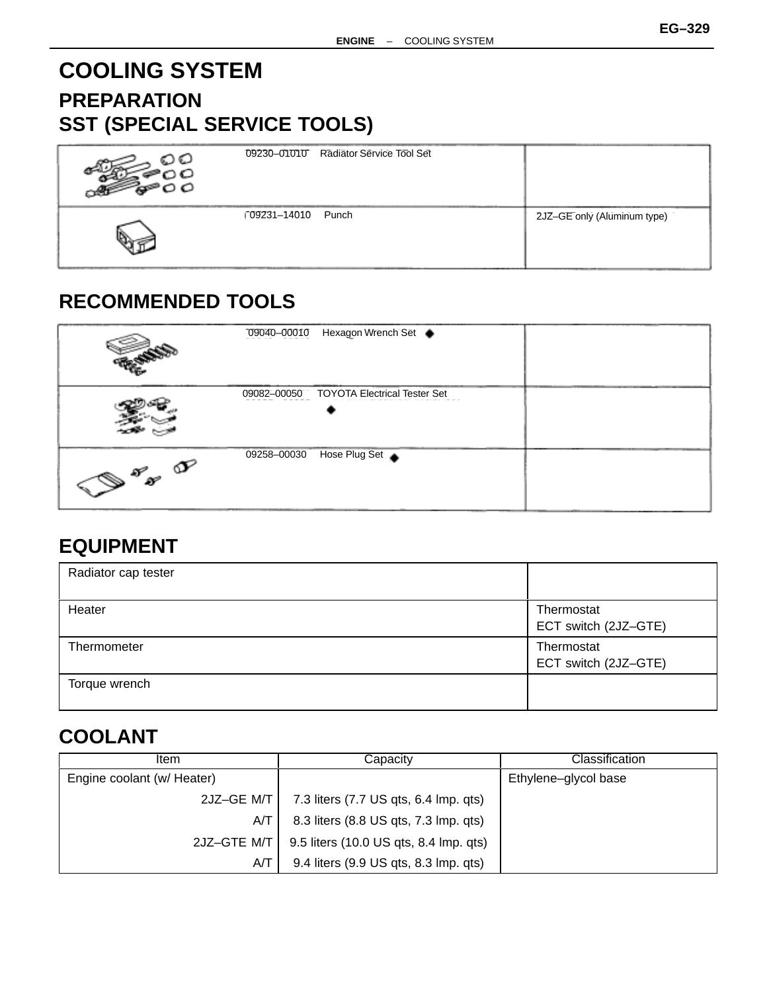# **COOLING SYSTEM PREPARATION SST (SPECIAL SERVICE TOOLS)**

| ດວ<br>$\circ$ | 09230-01010 Radiator Service Tool Set |                             |
|---------------|---------------------------------------|-----------------------------|
|               | 09231-14010<br>Punch                  | 2JZ-GE only (Aluminum type) |

### **RECOMMENDED TOOLS**

|                            | Hexagon Wrench Set ●<br>09040-00010                |  |
|----------------------------|----------------------------------------------------|--|
|                            | <b>TOYOTA Electrical Tester Set</b><br>09082-00050 |  |
| $\left(\bigotimes^{S_{S}}$ | Hose Plug Set<br>09258-00030                       |  |

### **EQUIPMENT**

| Radiator cap tester |                                    |
|---------------------|------------------------------------|
| Heater              | Thermostat<br>ECT switch (2JZ-GTE) |
| Thermometer         | Thermostat<br>ECT switch (2JZ-GTE) |
| Torque wrench       |                                    |

## **COOLANT**

| Item                       | Capacitv                               | Classification       |
|----------------------------|----------------------------------------|----------------------|
| Engine coolant (w/ Heater) |                                        | Ethylene-glycol base |
| 2JZ-GE M/T                 | 7.3 liters (7.7 US qts, 6.4 lmp. qts)  |                      |
| A/T                        | 8.3 liters (8.8 US qts, 7.3 lmp. qts)  |                      |
| 2JZ-GTE M/T                | 9.5 liters (10.0 US qts, 8.4 lmp. qts) |                      |
| A/T                        | 9.4 liters (9.9 US qts, 8.3 lmp. qts)  |                      |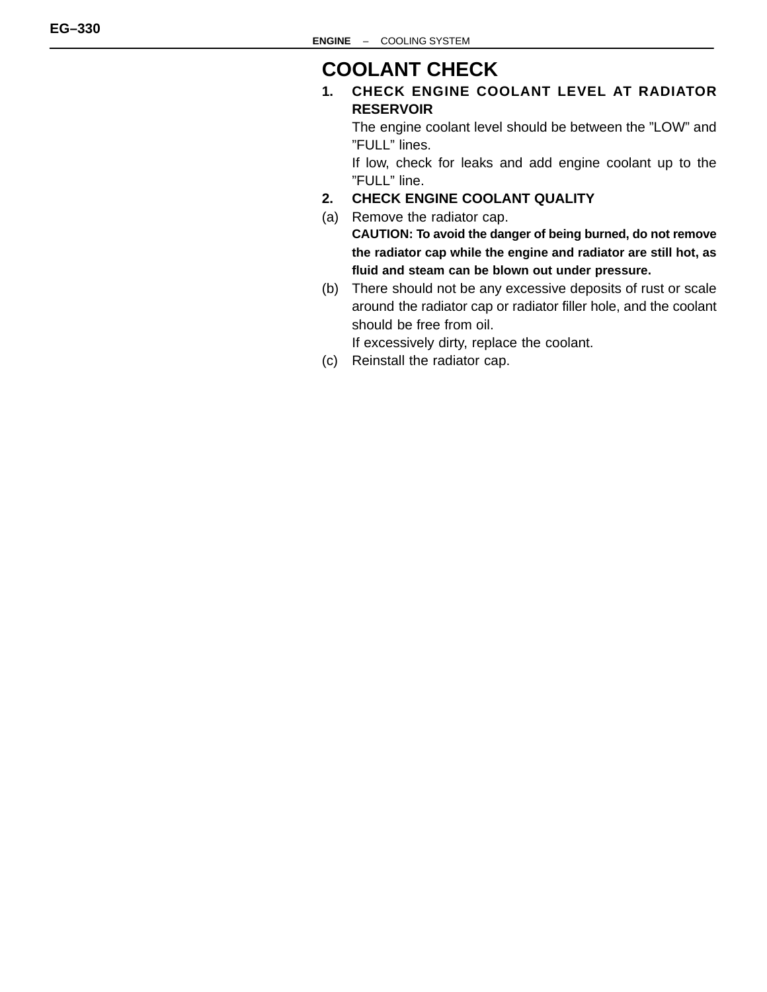### **COOLANT CHECK**

**1. CHECK ENGINE COOLANT LEVEL AT RADIATOR RESERVOIR**

The engine coolant level should be between the "LOW" and "FULL" lines.

If low, check for leaks and add engine coolant up to the "FULL" line.

- **2. CHECK ENGINE COOLANT QUALITY**
- (a) Remove the radiator cap. **CAUTION: To avoid the danger of being burned, do not remove the radiator cap while the engine and radiator are still hot, as fluid and steam can be blown out under pressure.**
- (b) There should not be any excessive deposits of rust or scale around the radiator cap or radiator filler hole, and the coolant should be free from oil.

If excessively dirty, replace the coolant.

(c) Reinstall the radiator cap.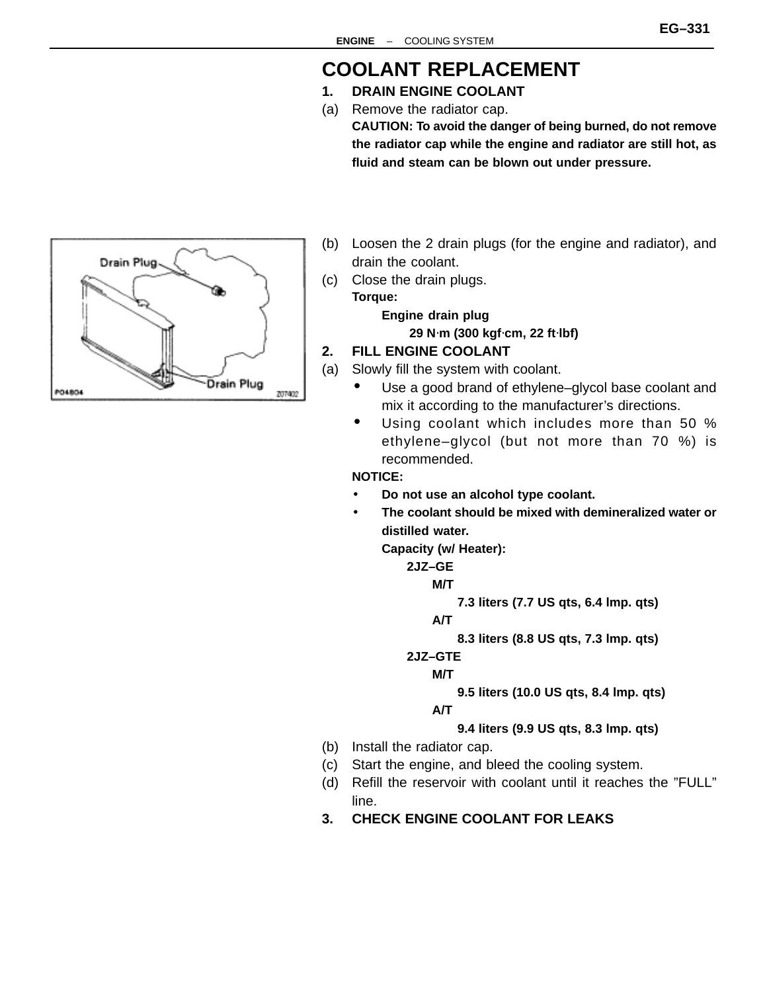#### **EG–331**

### **COOLANT REPLACEMENT**

- **1. DRAIN ENGINE COOLANT**
- (a) Remove the radiator cap. **CAUTION: To avoid the danger of being burned, do not remove the radiator cap while the engine and radiator are still hot, as fluid and steam can be blown out under pressure.**



- (b) Loosen the 2 drain plugs (for the engine and radiator), and drain the coolant.
- (c) Close the drain plugs.

**Torque:**

**Engine drain plug 29 N**⋅**m (300 kgf**⋅**cm, 22 ft**⋅**lbf)**

- **2. FILL ENGINE COOLANT**
- (a) Slowly fill the system with coolant.
	- Use a good brand of ethylene–glycol base coolant and mix it according to the manufacturer's directions.
	- Using coolant which includes more than 50 % ethylene–glycol (but not more than 70 %) is recommended.

#### **NOTICE:**

- **Do not use an alcohol type coolant.**
- **The coolant should be mixed with demineralized water or distilled water.**

**Capacity (w/ Heater):**

**2JZ–GE**

**M/T**

**7.3 liters (7.7 US qts, 6.4 lmp. qts)**

**A/T**

**8.3 liters (8.8 US qts, 7.3 lmp. qts)**

**2JZ–GTE**

**M/T**

**9.5 liters (10.0 US qts, 8.4 lmp. qts)**

**A/T**

**9.4 liters (9.9 US qts, 8.3 lmp. qts)**

- (b) Install the radiator cap.
- (c) Start the engine, and bleed the cooling system.
- (d) Refill the reservoir with coolant until it reaches the "FULL" line.
- **3. CHECK ENGINE COOLANT FOR LEAKS**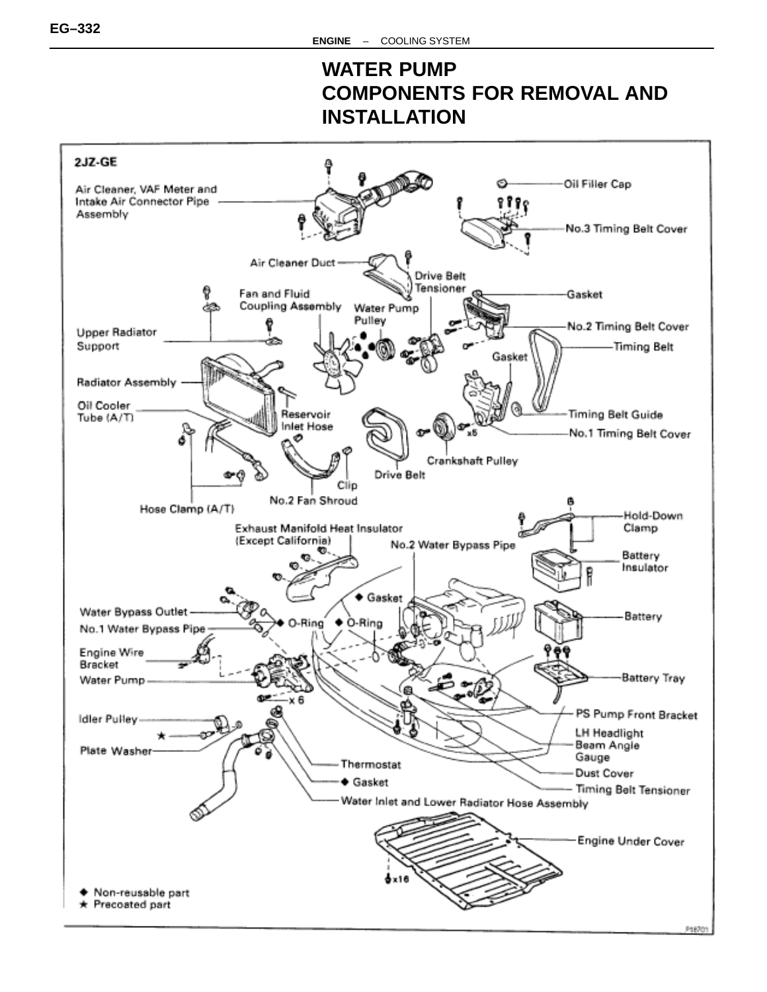## **WATER PUMP COMPONENTS FOR REMOVAL AND INSTALLATION**

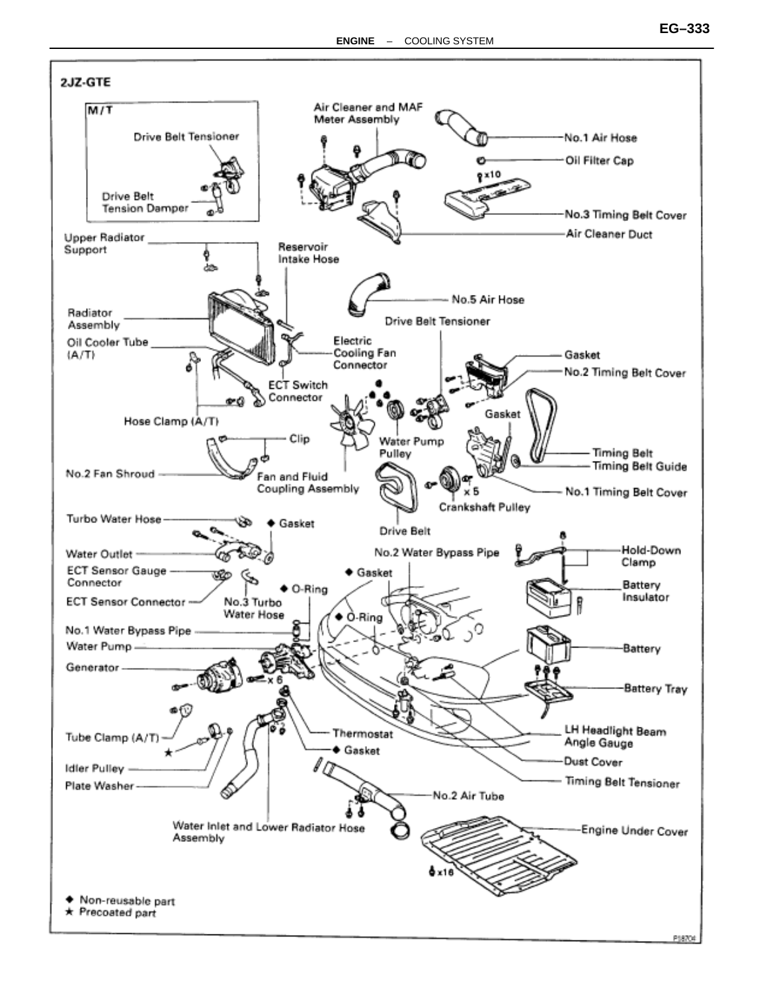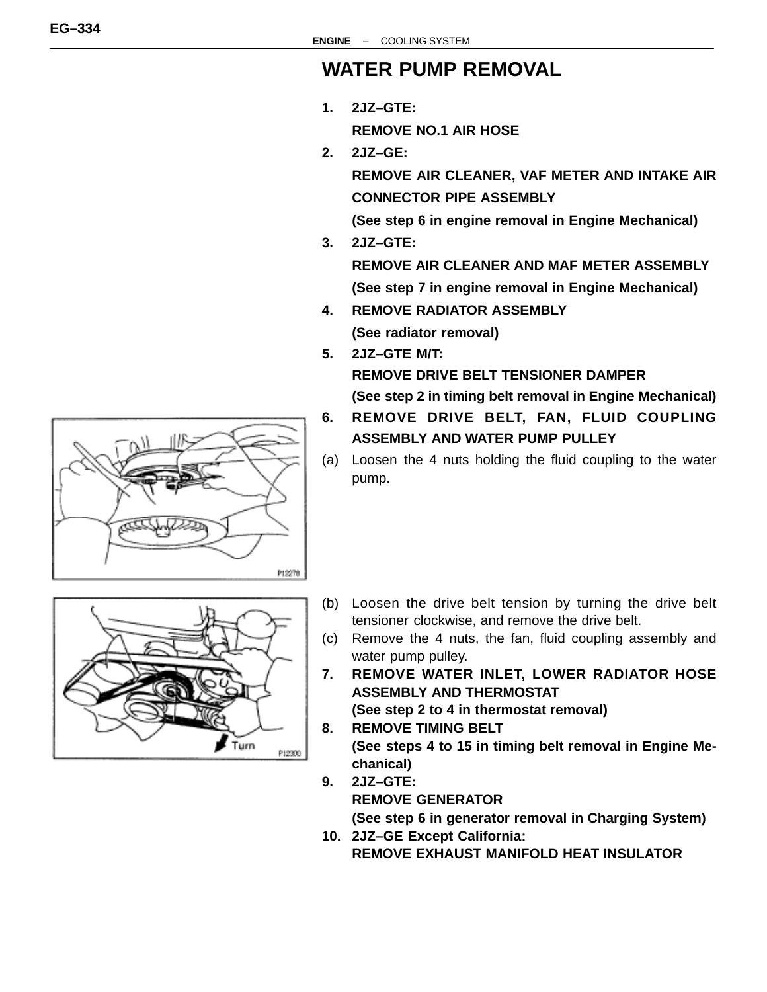### **WATER PUMP REMOVAL**

**1. 2JZ–GTE:**

**REMOVE NO.1 AIR HOSE**

**2. 2JZ–GE:**

**REMOVE AIR CLEANER, VAF METER AND INTAKE AIR CONNECTOR PIPE ASSEMBLY**

**(See step 6 in engine removal in Engine Mechanical)**

- **3. 2JZ–GTE: REMOVE AIR CLEANER AND MAF METER ASSEMBLY (See step 7 in engine removal in Engine Mechanical)**
- **4. REMOVE RADIATOR ASSEMBLY (See radiator removal)**
- **5. 2JZ–GTE M/T:**

**REMOVE DRIVE BELT TENSIONER DAMPER**

**(See step 2 in timing belt removal in Engine Mechanical)**

- **6. REMOVE DRIVE BELT, FAN, FLUID COUPLING ASSEMBLY AND WATER PUMP PULLEY**
- (a) Loosen the 4 nuts holding the fluid coupling to the water pump.



- (b) Loosen the drive belt tension by turning the drive belt tensioner clockwise, and remove the drive belt.
- (c) Remove the 4 nuts, the fan, fluid coupling assembly and water pump pulley.
- **7. REMOVE WATER INLET, LOWER RADIATOR HOSE ASSEMBLY AND THERMOSTAT**

**(See step 2 to 4 in thermostat removal)**

- **8. REMOVE TIMING BELT (See steps 4 to 15 in timing belt removal in Engine Mechanical)**
- **9. 2JZ–GTE: REMOVE GENERATOR (See step 6 in generator removal in Charging System) 10. 2JZ–GE Except California:**

**REMOVE EXHAUST MANIFOLD HEAT INSULATOR**

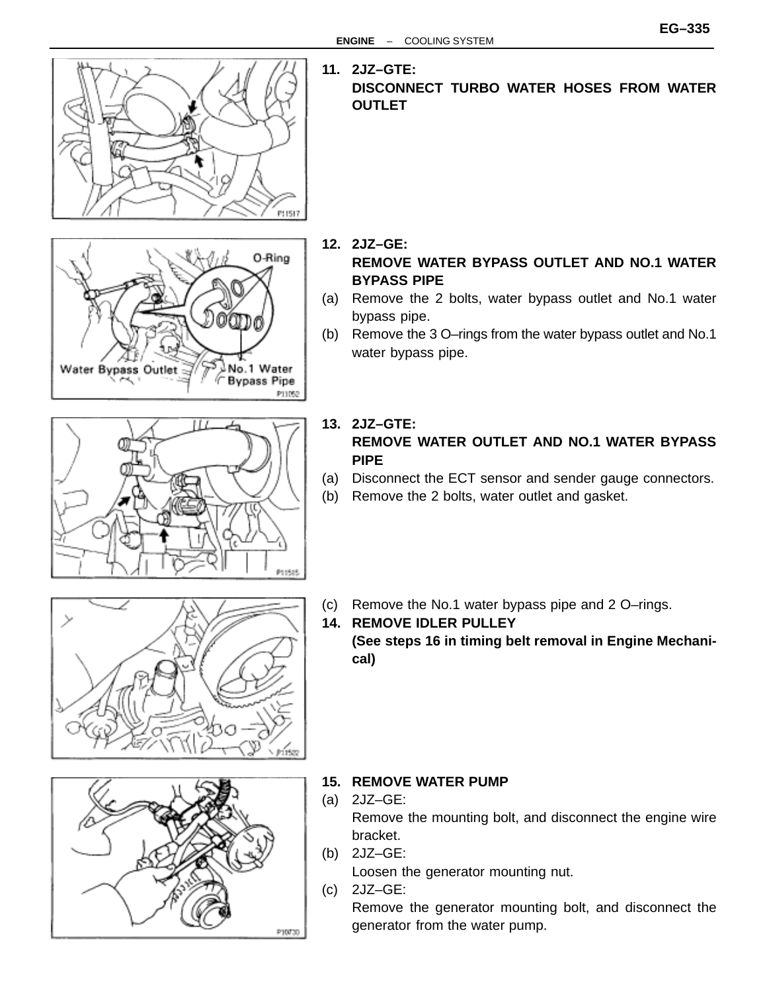

**11. 2JZ–GTE: DISCONNECT TURBO WATER HOSES FROM WATER OUTLET**

- **12. 2JZ–GE:** 0-Ring **REMOVE WATER BYPASS OUTLET AND NO.1 WATER BYPASS PIPE** (a) Remove the 2 bolts, water bypass outlet and No.1 water bypass pipe.
	- (b) Remove the 3 O–rings from the water bypass outlet and No.1 water bypass pipe.



No.1 Water

**Bypass Pipe** 

P11052

G

Water Bypass Outlet

- **13. 2JZ–GTE: REMOVE WATER OUTLET AND NO.1 WATER BYPASS PIPE**
- (a) Disconnect the ECT sensor and sender gauge connectors.
- (b) Remove the 2 bolts, water outlet and gasket.



(c) Remove the No.1 water bypass pipe and 2 O–rings. **14. REMOVE IDLER PULLEY**

**(See steps 16 in timing belt removal in Engine Mechanical)**



- **15. REMOVE WATER PUMP**
- (a) 2JZ–GE: Remove the mounting bolt, and disconnect the engine wire bracket.
- (b) 2JZ–GE: Loosen the generator mounting nut.
- (c) 2JZ–GE:

Remove the generator mounting bolt, and disconnect the generator from the water pump.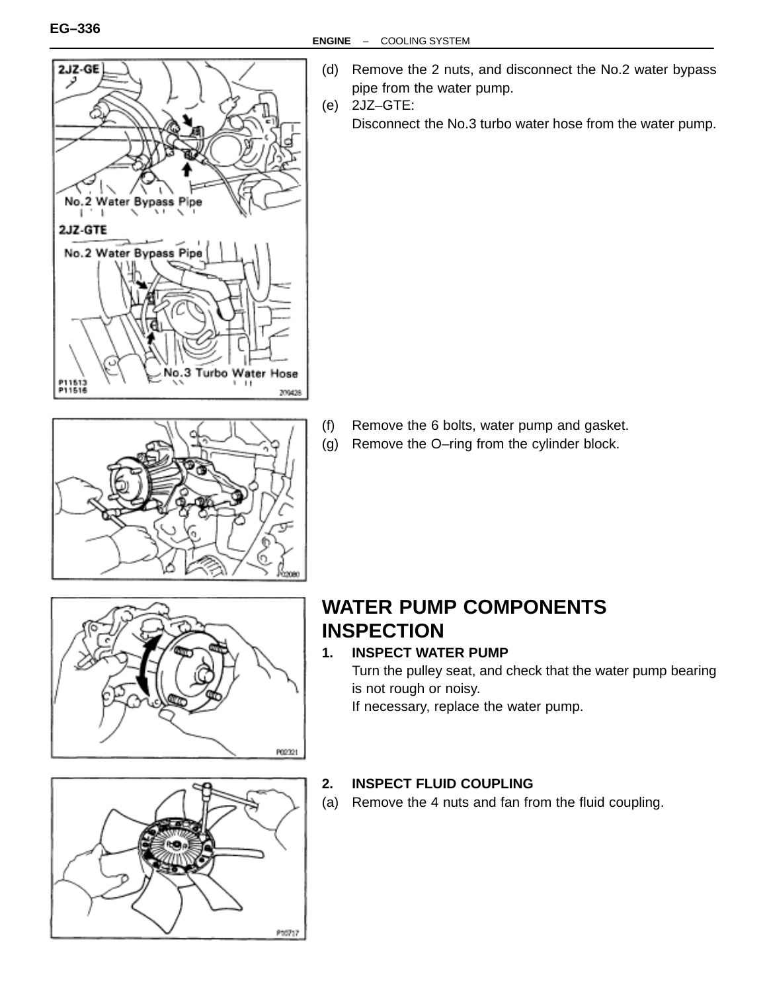



- (d) Remove the 2 nuts, and disconnect the No.2 water bypass pipe from the water pump.
- (e) 2JZ–GTE:
	- Disconnect the No.3 turbo water hose from the water pump.

- (f) Remove the 6 bolts, water pump and gasket.
- (g) Remove the O–ring from the cylinder block.



### **WATER PUMP COMPONENTS INSPECTION**

### **1. INSPECT WATER PUMP**

Turn the pulley seat, and check that the water pump bearing is not rough or noisy.

If necessary, replace the water pump.



#### **2. INSPECT FLUID COUPLING**

(a) Remove the 4 nuts and fan from the fluid coupling.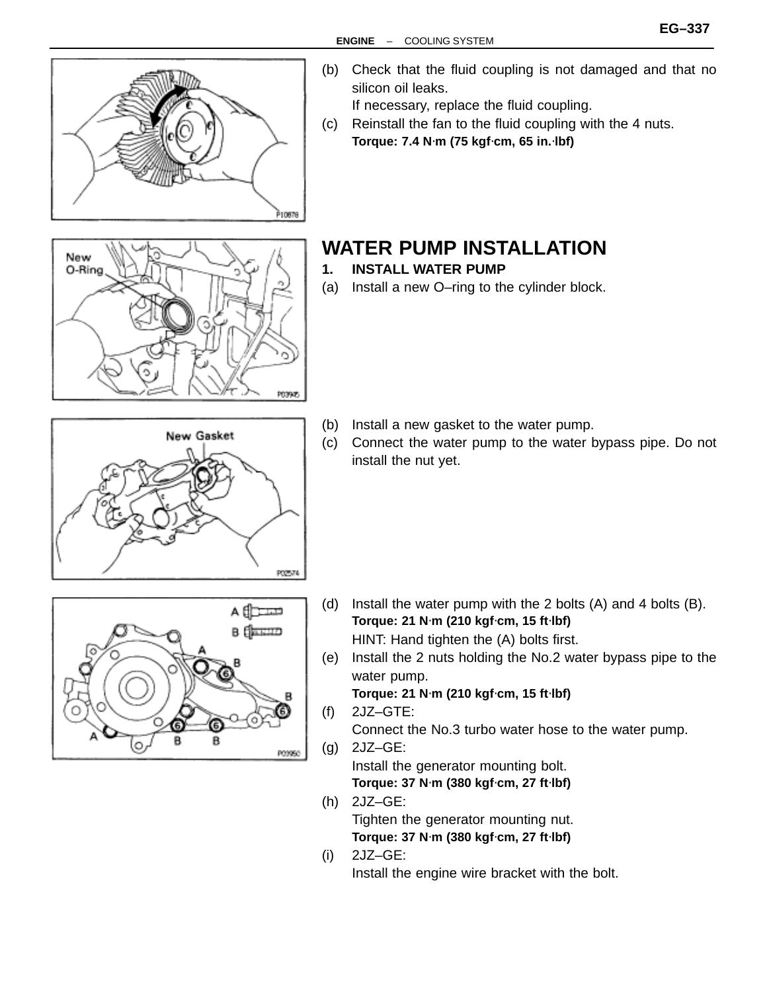



- (b) Check that the fluid coupling is not damaged and that no silicon oil leaks. If necessary, replace the fluid coupling.
- (c) Reinstall the fan to the fluid coupling with the 4 nuts. **Torque: 7.4 N**⋅**m (75 kgf**⋅**cm, 65 in.**⋅**lbf)**

## **WATER PUMP INSTALLATION**

- **1. INSTALL WATER PUMP**
- (a) Install a new O–ring to the cylinder block.

- (b) Install a new gasket to the water pump.
- (c) Connect the water pump to the water bypass pipe. Do not install the nut yet.





- (d) Install the water pump with the 2 bolts (A) and 4 bolts (B). **Torque: 21 N**⋅**m (210 kgf**⋅**cm, 15 ft**⋅**lbf)** HINT: Hand tighten the (A) bolts first.
- (e) Install the 2 nuts holding the No.2 water bypass pipe to the water pump.

**Torque: 21 N**⋅**m (210 kgf**⋅**cm, 15 ft**⋅**lbf)**

(f) 2JZ–GTE: Connect the No.3 turbo water hose to the water pump. (g) 2JZ–GE:

Install the generator mounting bolt. **Torque: 37 N**⋅**m (380 kgf**⋅**cm, 27 ft**⋅**lbf)**

- (h) 2JZ–GE: Tighten the generator mounting nut. **Torque: 37 N**⋅**m (380 kgf**⋅**cm, 27 ft**⋅**lbf)**
- (i) 2JZ–GE: Install the engine wire bracket with the bolt.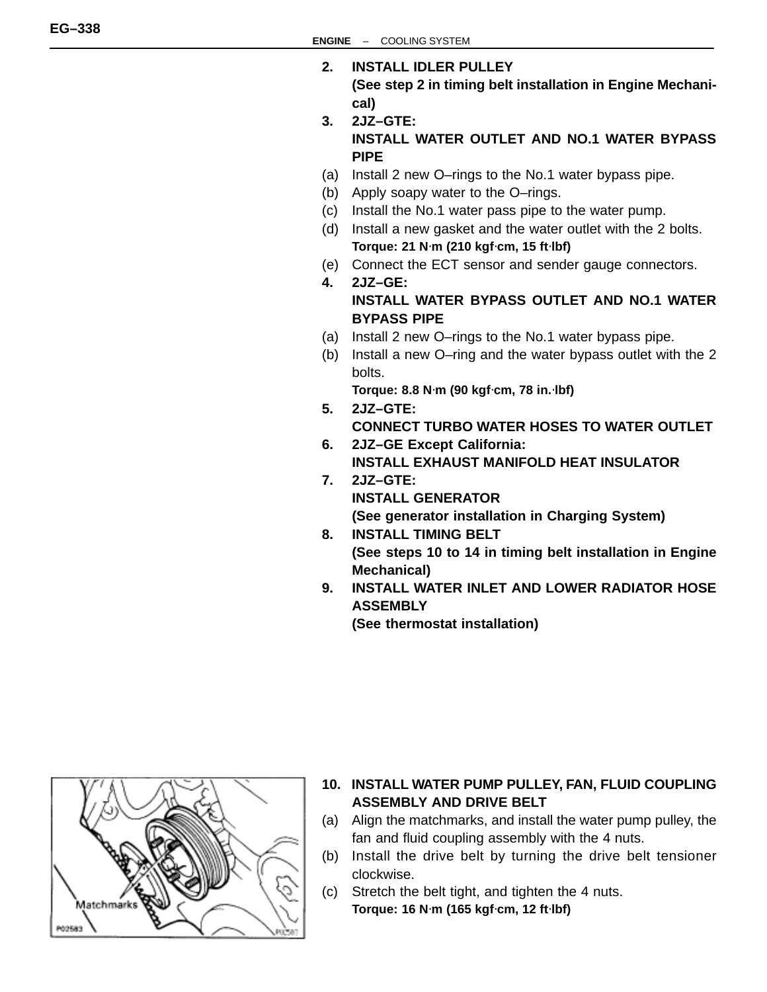- **2. INSTALL IDLER PULLEY (See step 2 in timing belt installation in Engine Mechanical)**
- **3. 2JZ–GTE: INSTALL WATER OUTLET AND NO.1 WATER BYPASS PIPE**
- (a) Install 2 new O–rings to the No.1 water bypass pipe.
- (b) Apply soapy water to the O–rings.
- (c) Install the No.1 water pass pipe to the water pump.
- (d) Install a new gasket and the water outlet with the 2 bolts. **Torque: 21 N**⋅**m (210 kgf**⋅**cm, 15 ft**⋅**lbf)**
- (e) Connect the ECT sensor and sender gauge connectors.
- **4. 2JZ–GE:**

#### **INSTALL WATER BYPASS OUTLET AND NO.1 WATER BYPASS PIPE**

- (a) Install 2 new O–rings to the No.1 water bypass pipe.
- (b) Install a new O–ring and the water bypass outlet with the 2 bolts.

**Torque: 8.8 N**⋅**m (90 kgf**⋅**cm, 78 in.**⋅**lbf)**

- **5. 2JZ–GTE: CONNECT TURBO WATER HOSES TO WATER OUTLET**
- **6. 2JZ–GE Except California: INSTALL EXHAUST MANIFOLD HEAT INSULATOR**
- **7. 2JZ–GTE:**

**INSTALL GENERATOR**

**(See generator installation in Charging System)**

- **8. INSTALL TIMING BELT (See steps 10 to 14 in timing belt installation in Engine Mechanical)**
- **9. INSTALL WATER INLET AND LOWER RADIATOR HOSE ASSEMBLY**

**(See thermostat installation)**



- **10. INSTALL WATER PUMP PULLEY, FAN, FLUID COUPLING ASSEMBLY AND DRIVE BELT**
- (a) Align the matchmarks, and install the water pump pulley, the fan and fluid coupling assembly with the 4 nuts.
- (b) Install the drive belt by turning the drive belt tensioner clockwise.
- (c) Stretch the belt tight, and tighten the 4 nuts. **Torque: 16 N**⋅**m (165 kgf**⋅**cm, 12 ft**⋅**lbf)**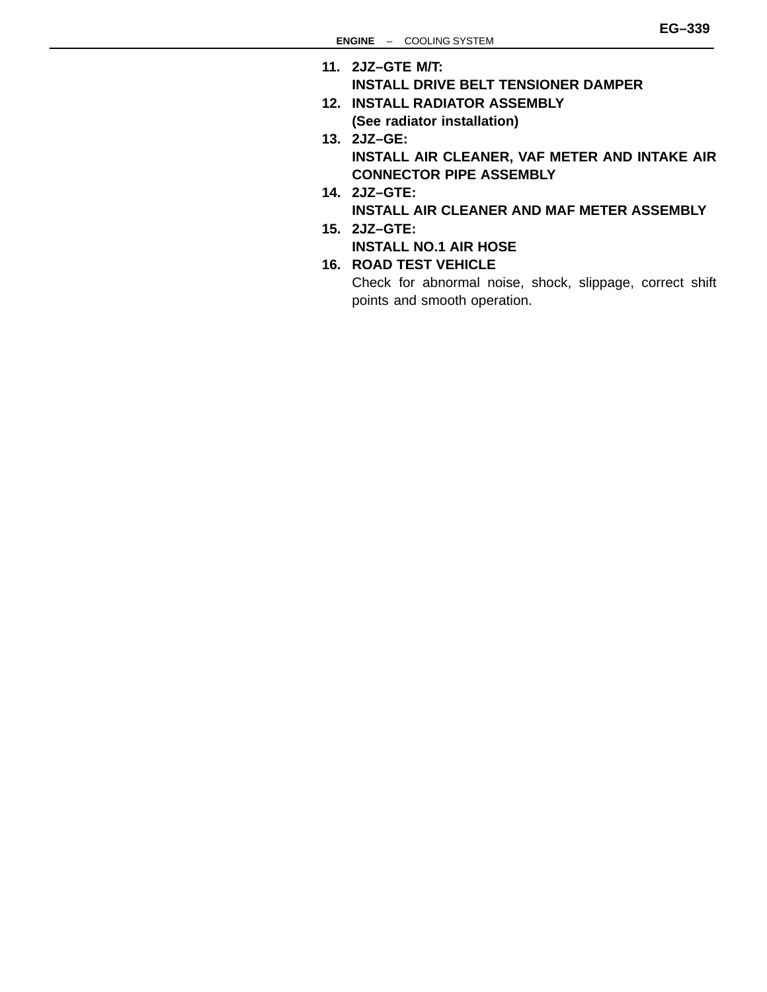- **11. 2JZ–GTE M/T:**
	- **INSTALL DRIVE BELT TENSIONER DAMPER**
- **12. INSTALL RADIATOR ASSEMBLY (See radiator installation)**
- **13. 2JZ–GE: INSTALL AIR CLEANER, VAF METER AND INTAKE AIR CONNECTOR PIPE ASSEMBLY**
- **14. 2JZ–GTE: INSTALL AIR CLEANER AND MAF METER ASSEMBLY**
- **15. 2JZ–GTE:**
	- **INSTALL NO.1 AIR HOSE**
- **16. ROAD TEST VEHICLE**

Check for abnormal noise, shock, slippage, correct shift points and smooth operation.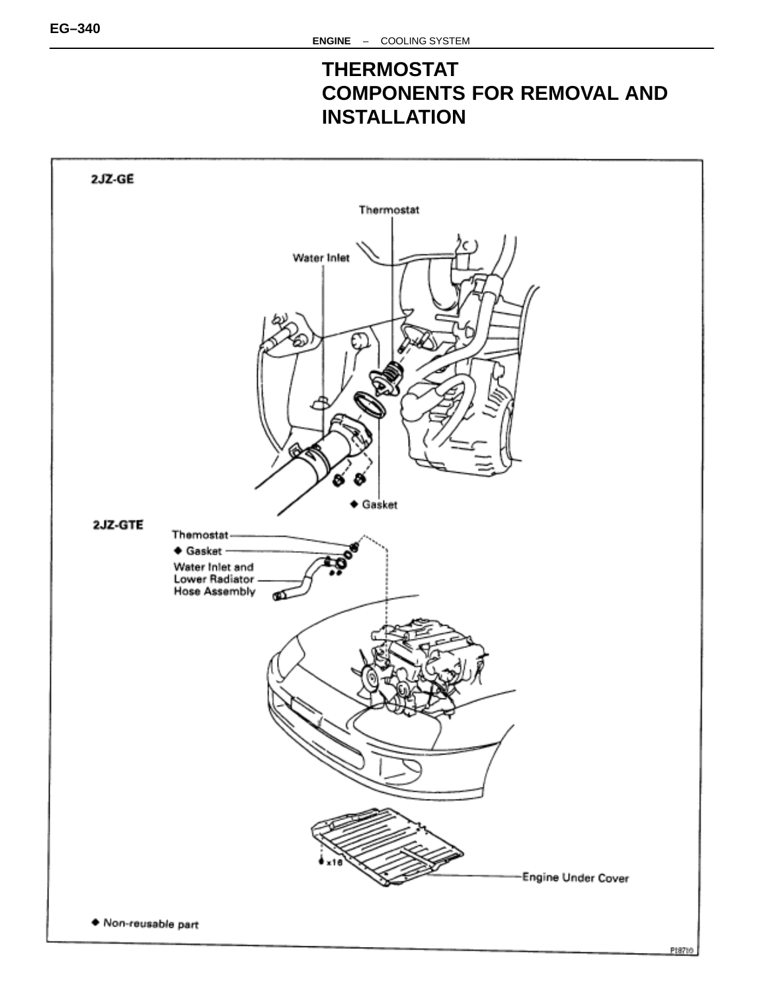### **THERMOSTAT COMPONENTS FOR REMOVAL AND INSTALLATION**

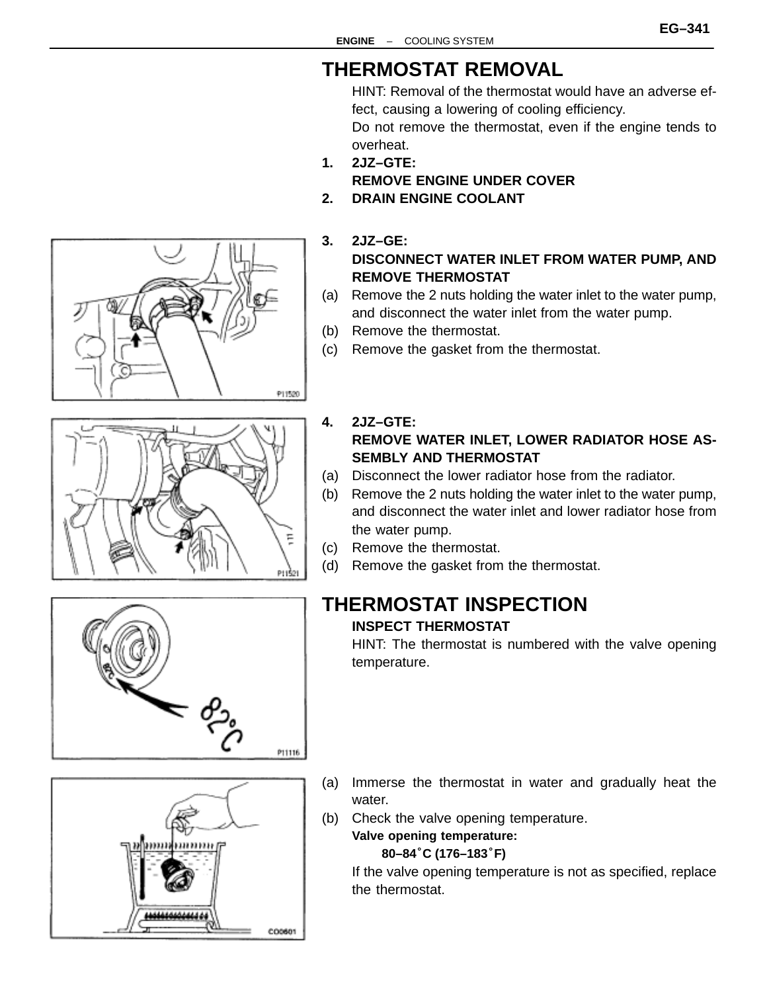#### **EG–341**

## **THERMOSTAT REMOVAL**

HINT: Removal of the thermostat would have an adverse effect, causing a lowering of cooling efficiency. Do not remove the thermostat, even if the engine tends to overheat.

- **1. 2JZ–GTE: REMOVE ENGINE UNDER COVER**
- **2. DRAIN ENGINE COOLANT**
- **3. 2JZ–GE: DISCONNECT WATER INLET FROM WATER PUMP, AND REMOVE THERMOSTAT**
- (a) Remove the 2 nuts holding the water inlet to the water pump, and disconnect the water inlet from the water pump.
- (b) Remove the thermostat.
- (c) Remove the gasket from the thermostat.
- **4. 2JZ–GTE: REMOVE WATER INLET, LOWER RADIATOR HOSE AS-SEMBLY AND THERMOSTAT**
- (a) Disconnect the lower radiator hose from the radiator.
- (b) Remove the 2 nuts holding the water inlet to the water pump, and disconnect the water inlet and lower radiator hose from the water pump.
- (c) Remove the thermostat.
- (d) Remove the gasket from the thermostat.

# **THERMOSTAT INSPECTION**

#### **INSPECT THERMOSTAT**

HINT: The thermostat is numbered with the valve opening temperature.

- P11116 (a) Immerse the thermostat in water and gradually heat the water. (b) Check the valve opening temperature.
	- **Valve opening temperature: 80–84**°**C (176–183**°**F)**

If the valve opening temperature is not as specified, replace the thermostat.







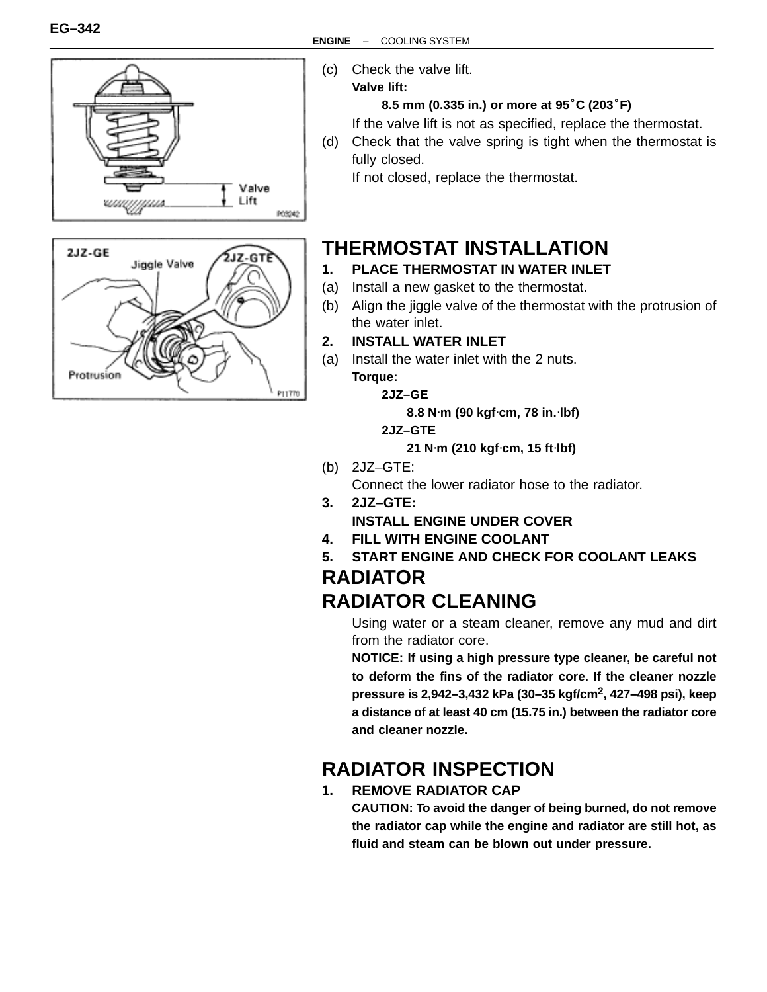



- (c) Check the valve lift.
	- **Valve lift:**

#### **8.5 mm (0.335 in.) or more at 95**°**C (203**°**F)**

If the valve lift is not as specified, replace the thermostat.

(d) Check that the valve spring is tight when the thermostat is fully closed.

If not closed, replace the thermostat.

# **THERMOSTAT INSTALLATION**

- **1. PLACE THERMOSTAT IN WATER INLET**
- (a) Install a new gasket to the thermostat.
- (b) Align the jiggle valve of the thermostat with the protrusion of the water inlet.
- **2. INSTALL WATER INLET**
- (a) Install the water inlet with the 2 nuts. **Torque:**

**2JZ–GE**

**8.8 N**⋅**m (90 kgf**⋅**cm, 78 in.**⋅**lbf)**

**2JZ–GTE**

**21 N**⋅**m (210 kgf**⋅**cm, 15 ft**⋅**lbf)**

(b) 2JZ–GTE:

Connect the lower radiator hose to the radiator.

- **3. 2JZ–GTE: INSTALL ENGINE UNDER COVER**
- **4. FILL WITH ENGINE COOLANT**
- **5. START ENGINE AND CHECK FOR COOLANT LEAKS**

### **RADIATOR RADIATOR CLEANING**

Using water or a steam cleaner, remove any mud and dirt from the radiator core.

**NOTICE: If using a high pressure type cleaner, be careful not to deform the fins of the radiator core. If the cleaner nozzle pressure is 2,942–3,432 kPa (30–35 kgf/cm2, 427–498 psi), keep a distance of at least 40 cm (15.75 in.) between the radiator core and cleaner nozzle.**

# **RADIATOR INSPECTION**

### **1. REMOVE RADIATOR CAP**

**CAUTION: To avoid the danger of being burned, do not remove the radiator cap while the engine and radiator are still hot, as fluid and steam can be blown out under pressure.**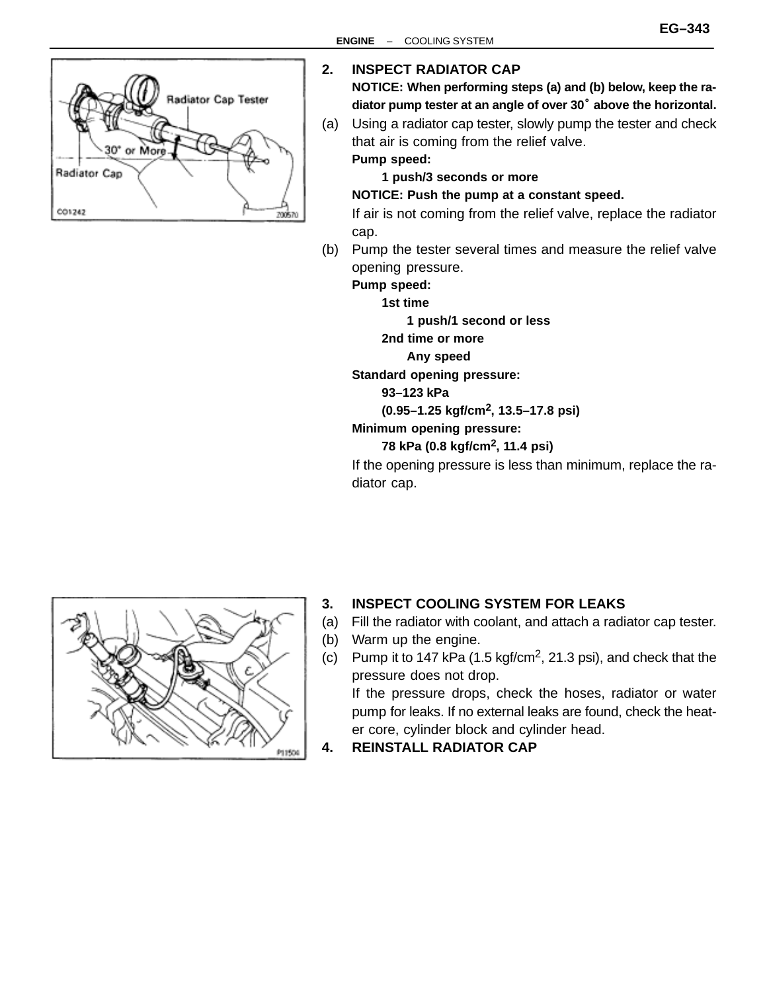

#### **2. INSPECT RADIATOR CAP**

**NOTICE: When performing steps (a) and (b) below, keep the ra-**INSPECT RADIATOR CAP<br>NOTICE: When performing steps (a) and (b) below, keep the ra-<br>diator pump tester at an angle of over 30<sup>°</sup> above the horizontal.

(a) Using a radiator cap tester, slowly pump the tester and check that air is coming from the relief valve. **Pump speed:**

**1 push/3 seconds or more**

#### **NOTICE: Push the pump at a constant speed.**

If air is not coming from the relief valve, replace the radiator cap.

(b) Pump the tester several times and measure the relief valve opening pressure.

**Pump speed:**

**1st time**

**1 push/1 second or less**

**2nd time or more**

**Any speed**

**Standard opening pressure:**

**93–123 kPa**

**(0.95–1.25 kgf/cm2, 13.5–17.8 psi)**

#### **Minimum opening pressure:**

**78 kPa (0.8 kgf/cm2, 11.4 psi)**

If the opening pressure is less than minimum, replace the radiator cap.



#### **3. INSPECT COOLING SYSTEM FOR LEAKS**

- (a) Fill the radiator with coolant, and attach a radiator cap tester.
- (b) Warm up the engine.
- (c) Pump it to 147 kPa (1.5 kgf/cm<sup>2</sup>, 21.3 psi), and check that the pressure does not drop.

If the pressure drops, check the hoses, radiator or water pump for leaks. If no external leaks are found, check the heater core, cylinder block and cylinder head.

**4. REINSTALL RADIATOR CAP**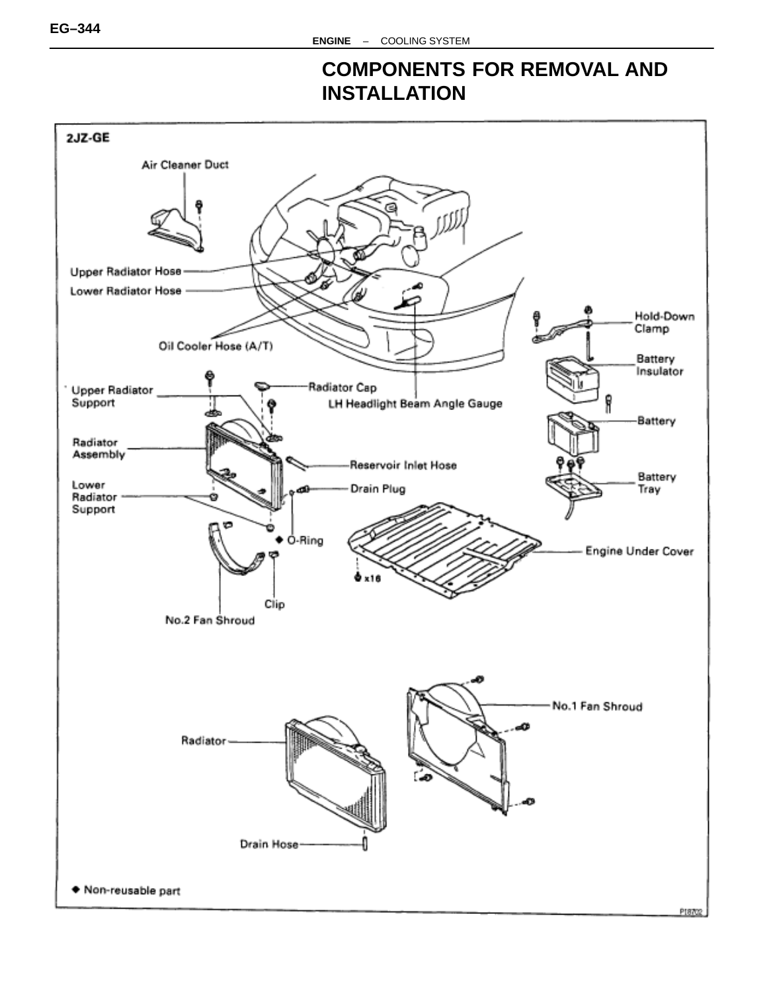### **COMPONENTS FOR REMOVAL AND INSTALLATION**

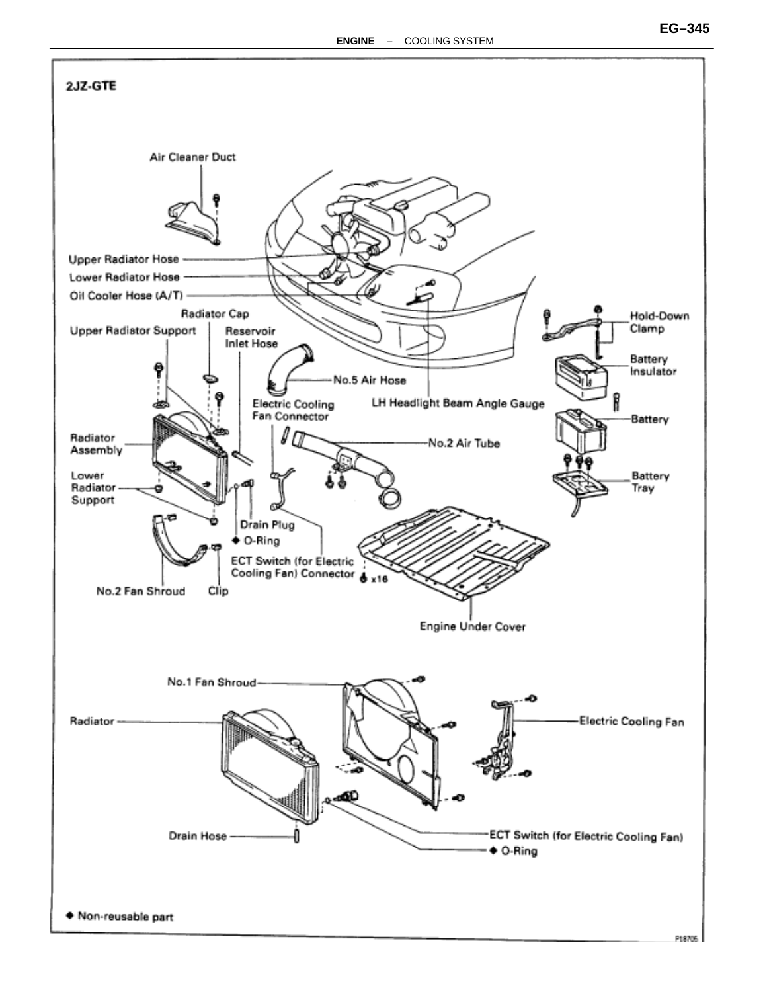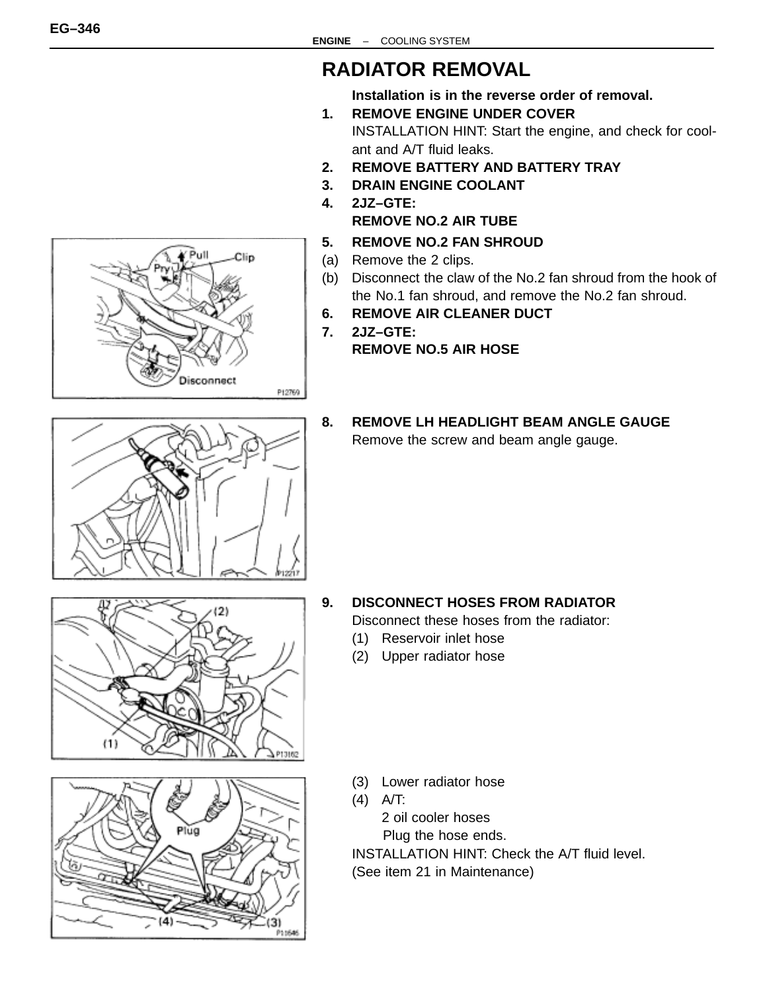## **RADIATOR REMOVAL**

**Installation is in the reverse order of removal.**

- **1. REMOVE ENGINE UNDER COVER** INSTALLATION HINT: Start the engine, and check for coolant and A/T fluid leaks.
- **2. REMOVE BATTERY AND BATTERY TRAY**
- **3. DRAIN ENGINE COOLANT 4. 2JZ–GTE:**
	- **REMOVE NO.2 AIR TUBE**
- **5. REMOVE NO.2 FAN SHROUD**
- (a) Remove the 2 clips.
- (b) Disconnect the claw of the No.2 fan shroud from the hook of the No.1 fan shroud, and remove the No.2 fan shroud.
- **6. REMOVE AIR CLEANER DUCT**
- **7. 2JZ–GTE: REMOVE NO.5 AIR HOSE**
- **8. REMOVE LH HEADLIGHT BEAM ANGLE GAUGE** Remove the screw and beam angle gauge.







### **9. DISCONNECT HOSES FROM RADIATOR**

Disconnect these hoses from the radiator:

- (1) Reservoir inlet hose
- (2) Upper radiator hose

- (3) Lower radiator hose
- (4) A/T:

2 oil cooler hoses

Plug the hose ends.

INSTALLATION HINT: Check the A/T fluid level.

(See item 21 in Maintenance)

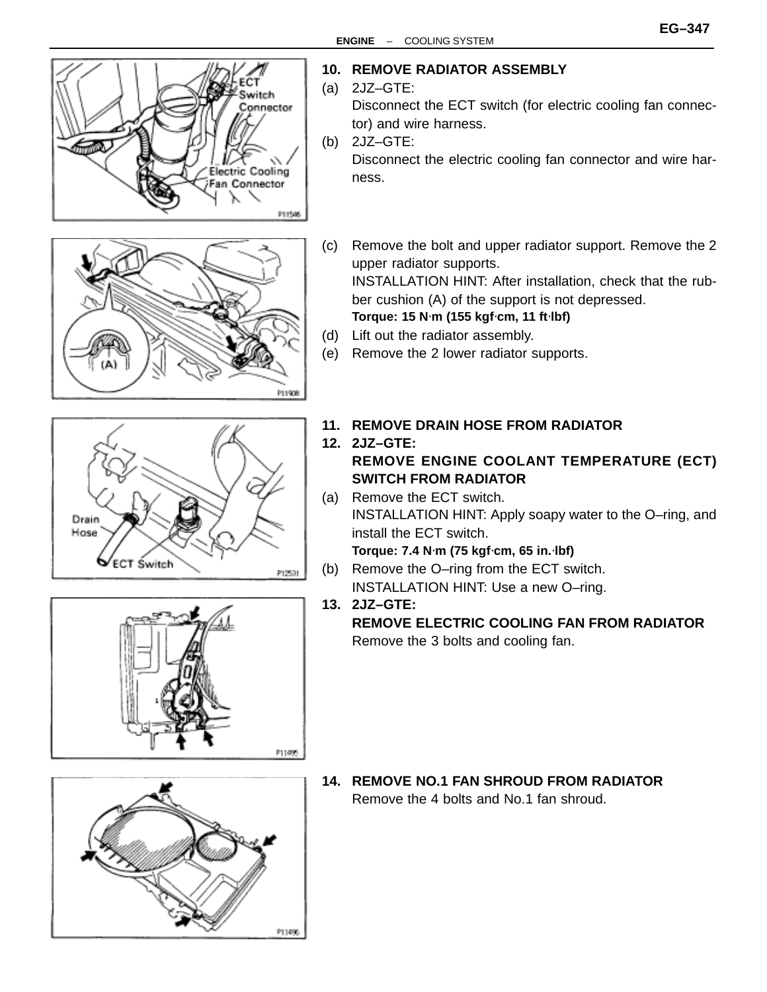









#### **10. REMOVE RADIATOR ASSEMBLY**

- (a) 2JZ–GTE: Disconnect the ECT switch (for electric cooling fan connec
	- tor) and wire harness.

(b) 2JZ–GTE: Disconnect the electric cooling fan connector and wire harness.

(c) Remove the bolt and upper radiator support. Remove the 2 upper radiator supports. INSTALLATION HINT: After installation, check that the rub-

ber cushion (A) of the support is not depressed.

**Torque: 15 N**⋅**m (155 kgf**⋅**cm, 11 ft**⋅**lbf)**

- (d) Lift out the radiator assembly.
- (e) Remove the 2 lower radiator supports.
- **11. REMOVE DRAIN HOSE FROM RADIATOR**
- **12. 2JZ–GTE: REMOVE ENGINE COOLANT TEMPERATURE (ECT) SWITCH FROM RADIATOR**
- (a) Remove the ECT switch. INSTALLATION HINT: Apply soapy water to the O–ring, and install the ECT switch.

**Torque: 7.4 N**⋅**m (75 kgf**⋅**cm, 65 in.**⋅**lbf)**

(b) Remove the O–ring from the ECT switch. INSTALLATION HINT: Use a new O–ring.

**13. 2JZ–GTE:**

**REMOVE ELECTRIC COOLING FAN FROM RADIATOR** Remove the 3 bolts and cooling fan.

**14. REMOVE NO.1 FAN SHROUD FROM RADIATOR** Remove the 4 bolts and No.1 fan shroud.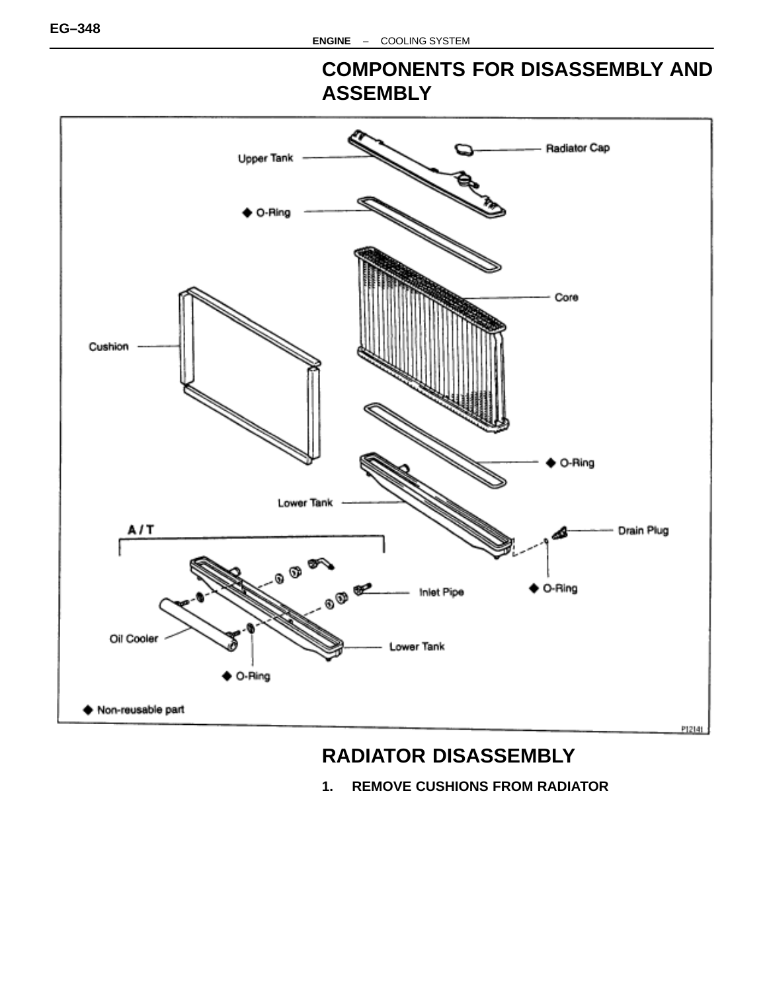### **COMPONENTS FOR DISASSEMBLY AND ASSEMBLY**



## **RADIATOR DISASSEMBLY**

 $1.$ **REMOVE CUSHIONS FROM RADIATOR**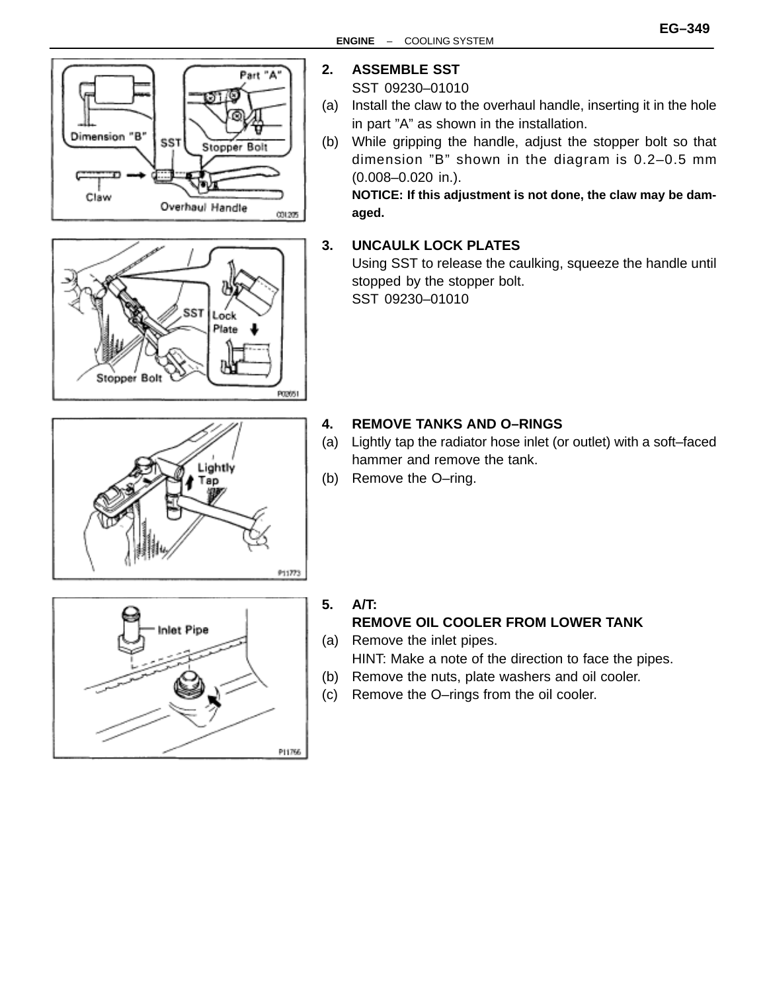



Lightly Tap

### **2. ASSEMBLE SST**

SST 09230–01010

- (a) Install the claw to the overhaul handle, inserting it in the hole in part "A" as shown in the installation.
- (b) While gripping the handle, adjust the stopper bolt so that dimension "B" shown in the diagram is 0.2–0.5 mm (0.008–0.020 in.).

**NOTICE: If this adjustment is not done, the claw may be damaged.**

#### **3. UNCAULK LOCK PLATES**

Using SST to release the caulking, squeeze the handle until stopped by the stopper bolt.

SST 09230–01010

#### **4. REMOVE TANKS AND O–RINGS**

- (a) Lightly tap the radiator hose inlet (or outlet) with a soft–faced hammer and remove the tank.
- (b) Remove the O–ring.



#### **5. A/T:**

911773

### **REMOVE OIL COOLER FROM LOWER TANK**

- (a) Remove the inlet pipes. HINT: Make a note of the direction to face the pipes.
- (b) Remove the nuts, plate washers and oil cooler.
- (c) Remove the O–rings from the oil cooler.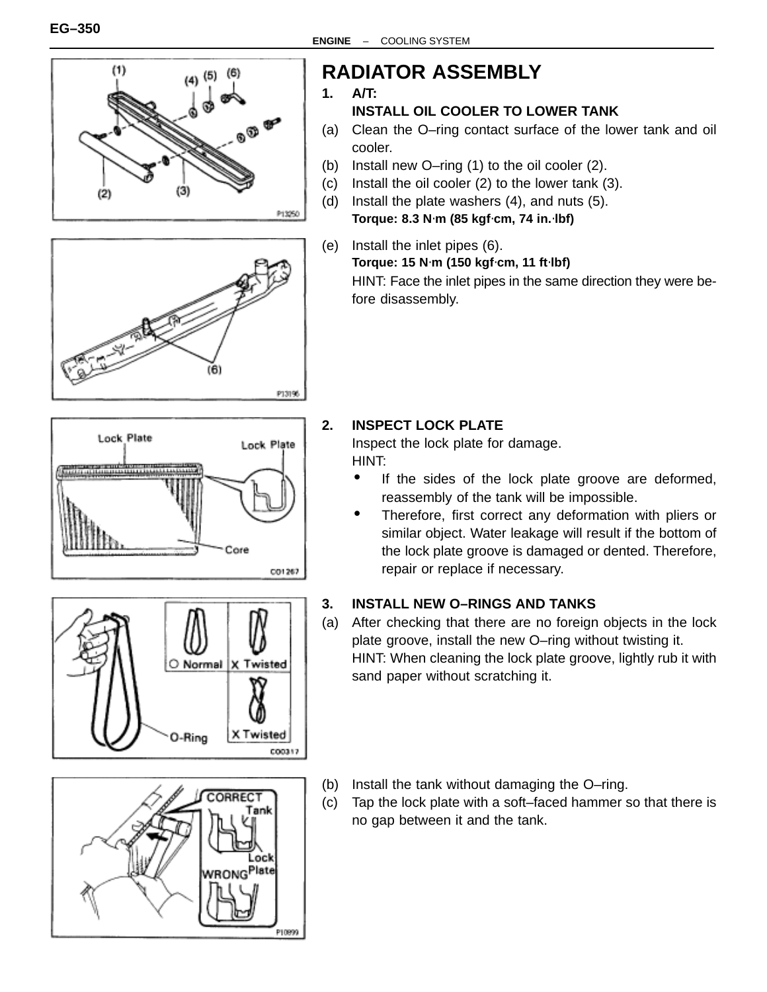









# **RADIATOR ASSEMBLY**

**1. A/T:**

#### **INSTALL OIL COOLER TO LOWER TANK**

- (a) Clean the O–ring contact surface of the lower tank and oil cooler.
- (b) Install new O–ring (1) to the oil cooler (2).
- (c) Install the oil cooler (2) to the lower tank (3). (d) Install the plate washers (4), and nuts (5).
- **Torque: 8.3 N**⋅**m (85 kgf**⋅**cm, 74 in.**⋅**lbf)**
- (e) Install the inlet pipes (6). **Torque: 15 N**⋅**m (150 kgf**⋅**cm, 11 ft**⋅**lbf)** HINT: Face the inlet pipes in the same direction they were before disassembly.

#### **2. INSPECT LOCK PLATE**

Inspect the lock plate for damage. HINT:

- If the sides of the lock plate groove are deformed, reassembly of the tank will be impossible.
- Therefore, first correct any deformation with pliers or similar object. Water leakage will result if the bottom of the lock plate groove is damaged or dented. Therefore, repair or replace if necessary.

#### **3. INSTALL NEW O–RINGS AND TANKS**

- (a) After checking that there are no foreign objects in the lock plate groove, install the new O–ring without twisting it. HINT: When cleaning the lock plate groove, lightly rub it with sand paper without scratching it.
- (b) Install the tank without damaging the O–ring.
- (c) Tap the lock plate with a soft–faced hammer so that there is no gap between it and the tank.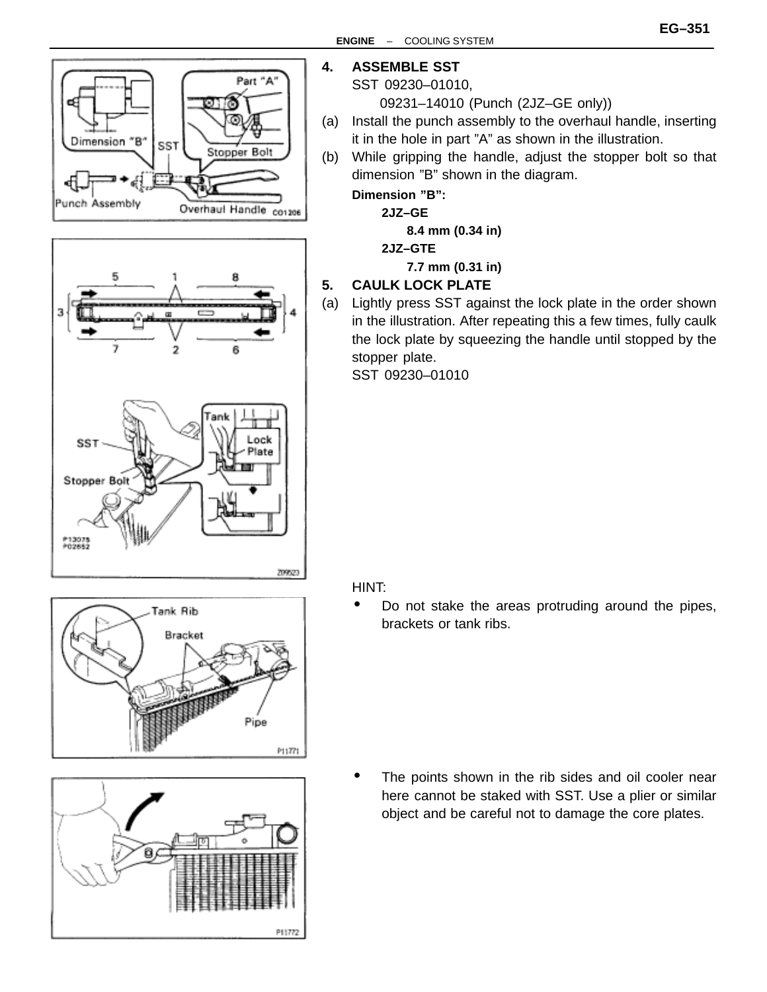







#### **4. ASSEMBLE SST**

#### SST 09230–01010,

09231–14010 (Punch (2JZ–GE only))

- (a) Install the punch assembly to the overhaul handle, inserting it in the hole in part "A" as shown in the illustration.
- (b) While gripping the handle, adjust the stopper bolt so that dimension "B" shown in the diagram.

#### **Dimension "B":**

**2JZ–GE**

**8.4 mm (0.34 in)**

#### **2JZ–GTE**

**7.7 mm (0.31 in)**

#### **5. CAULK LOCK PLATE**

(a) Lightly press SST against the lock plate in the order shown in the illustration. After repeating this a few times, fully caulk the lock plate by squeezing the handle until stopped by the stopper plate.

SST 09230–01010

#### HINT:

• Do not stake the areas protruding around the pipes, brackets or tank ribs.

The points shown in the rib sides and oil cooler near here cannot be staked with SST. Use a plier or similar object and be careful not to damage the core plates.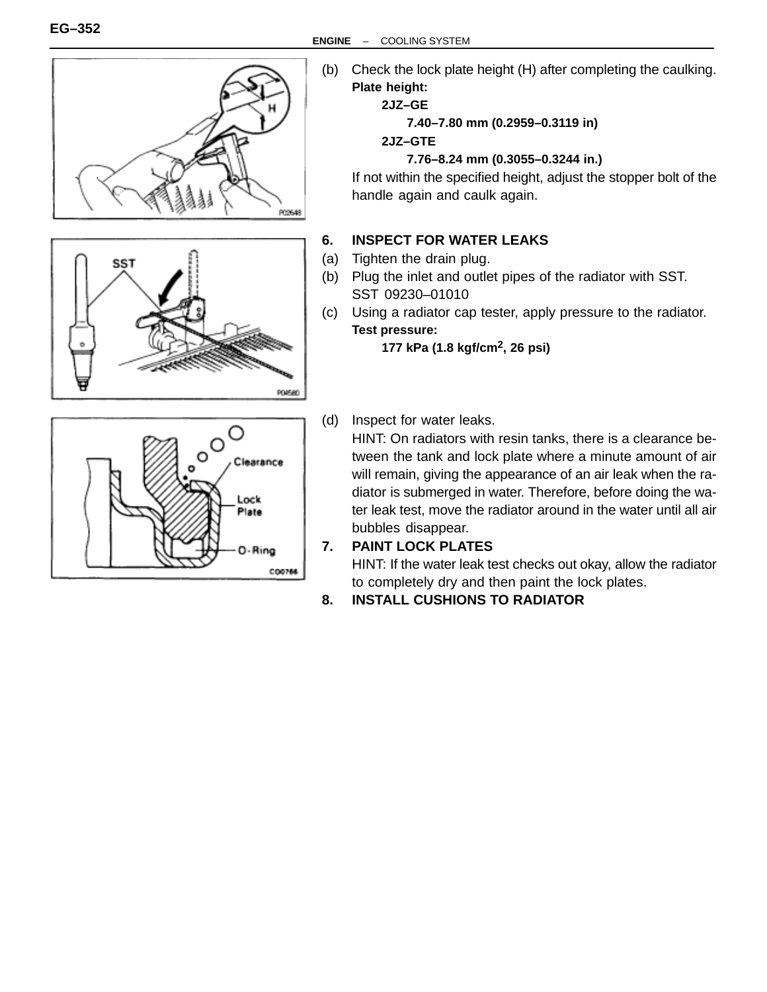

Plate

O-Ring

C00766

(b) Check the lock plate height (H) after completing the caulking. **Plate height:**

#### **2JZ–GE**

**7.40–7.80 mm (0.2959–0.3119 in)**

#### **2JZ–GTE**

#### **7.76–8.24 mm (0.3055–0.3244 in.)**

If not within the specified height, adjust the stopper bolt of the handle again and caulk again.

#### **6. INSPECT FOR WATER LEAKS**

- (a) Tighten the drain plug.
- (b) Plug the inlet and outlet pipes of the radiator with SST. SST 09230–01010
- (c) Using a radiator cap tester, apply pressure to the radiator. **Test pressure:**

**177 kPa (1.8 kgf/cm2, 26 psi)**

(d) Inspect for water leaks.

HINT: On radiators with resin tanks, there is a clearance between the tank and lock plate where a minute amount of air will remain, giving the appearance of an air leak when the radiator is submerged in water. Therefore, before doing the water leak test, move the radiator around in the water until all air bubbles disappear.

#### **7. PAINT LOCK PLATES**

HINT: If the water leak test checks out okay, allow the radiator to completely dry and then paint the lock plates.

**8. INSTALL CUSHIONS TO RADIATOR**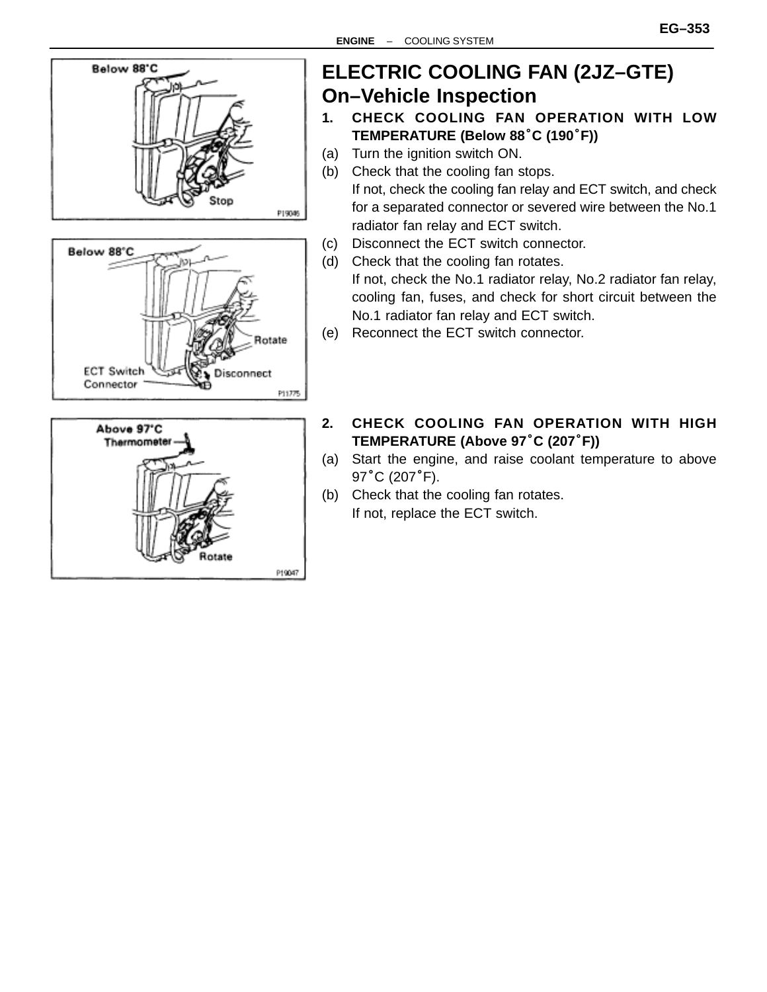

## **ELECTRIC COOLING FAN (2JZ–GTE) On–Vehicle Inspection**

- **1. CHECK COOLING FAN OPERATION WITH LOW TREMICLE MISPECTION<br>CHECK COOLING FAN OPERAT<br>TEMPERATURE (Below 88°C (190°F))**
- (a) Turn the ignition switch ON.
- (b) Check that the cooling fan stops. If not, check the cooling fan relay and ECT switch, and check for a separated connector or severed wire between the No.1 radiator fan relay and ECT switch.
- (c) Disconnect the ECT switch connector.
- (d) Check that the cooling fan rotates. If not, check the No.1 radiator relay, No.2 radiator fan relay, cooling fan, fuses, and check for short circuit between the No.1 radiator fan relay and ECT switch.
- (e) Reconnect the ECT switch connector.
- **2. CHECK COOLING FAN OPERATION WITH HIGH TEMPERATURE (Above 97**°**C (207**°**F))**
- (a) Start the engine, and raise coolant temperature to above T**EMPERATUI**<br>Start the engi<br>97°C (207°F).
- (b) Check that the cooling fan rotates. If not, replace the ECT switch.

P19047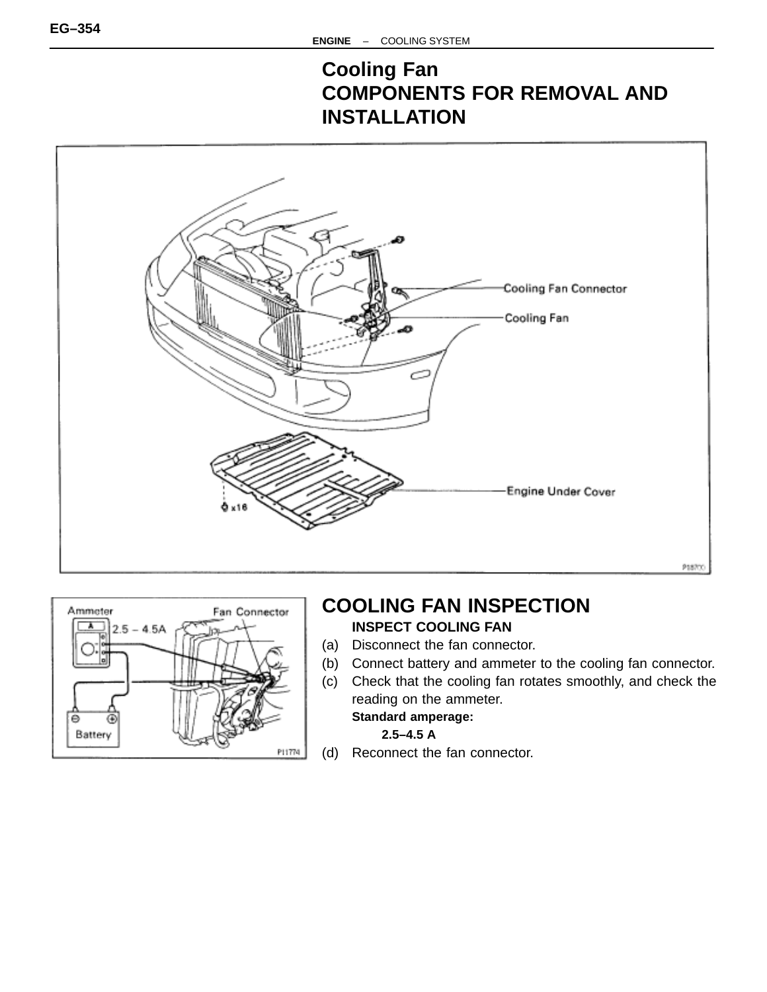## **Cooling Fan COMPONENTS FOR REMOVAL AND INSTALLATION**





### **COOLING FAN INSPECTION INSPECT COOLING FAN**

- (a) Disconnect the fan connector.
- (b) Connect battery and ammeter to the cooling fan connector.
- (c) Check that the cooling fan rotates smoothly, and check the reading on the ammeter. **Standard amperage:**

**2.5–4.5 A**

(d) Reconnect the fan connector.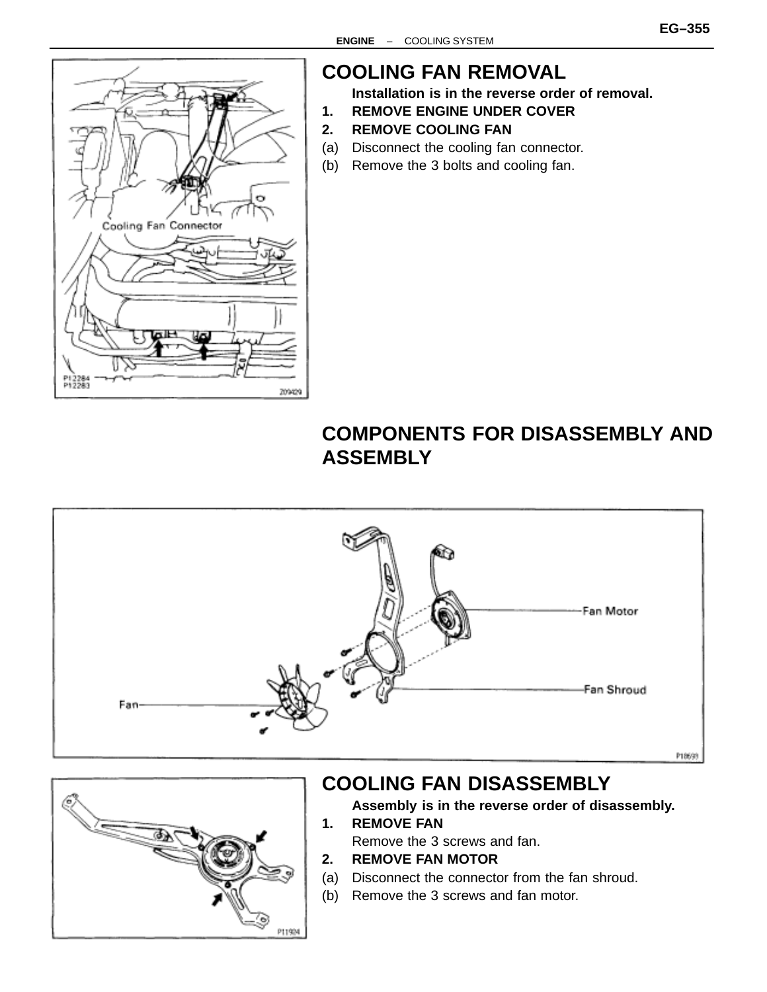

## **COOLING FAN REMOVAL**

**Installation is in the reverse order of removal.**

- **1. REMOVE ENGINE UNDER COVER**
- **2. REMOVE COOLING FAN**
- (a) Disconnect the cooling fan connector.
- (b) Remove the 3 bolts and cooling fan.

### **COMPONENTS FOR DISASSEMBLY AND ASSEMBLY**





### **COOLING FAN DISASSEMBLY**

- **Assembly is in the reverse order of disassembly. 1. REMOVE FAN**
	- Remove the 3 screws and fan.
- **2. REMOVE FAN MOTOR**
- (a) Disconnect the connector from the fan shroud.
- (b) Remove the 3 screws and fan motor.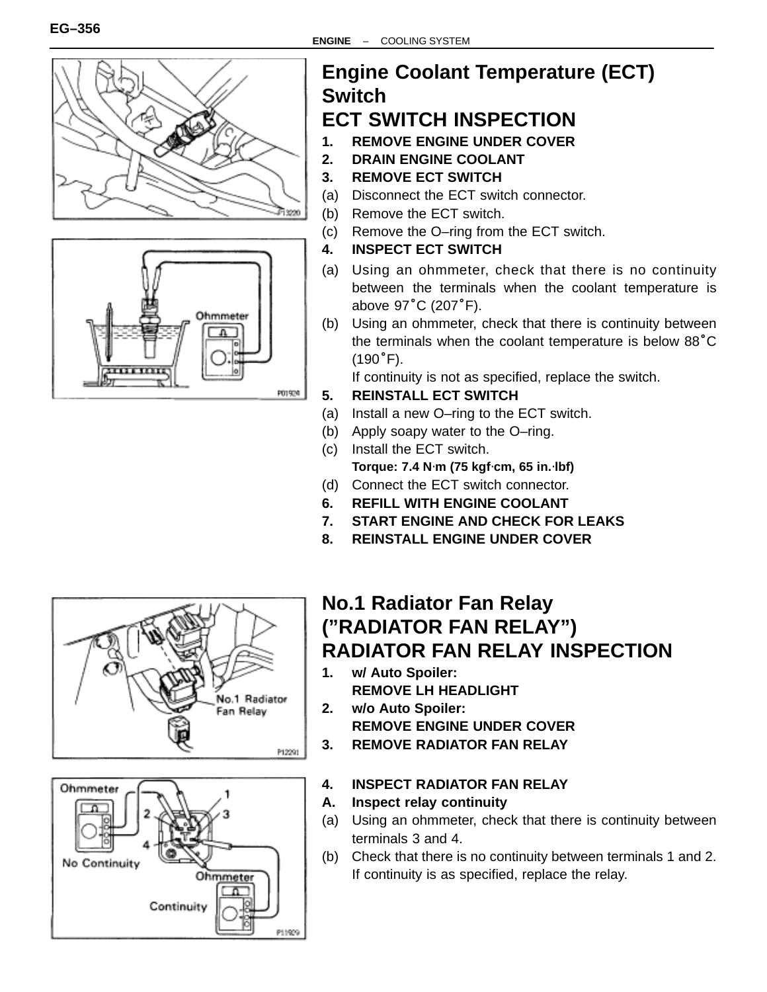



# **Engine Coolant Temperature (ECT) Switch**

## **ECT SWITCH INSPECTION**

- **1. REMOVE ENGINE UNDER COVER**
- **2. DRAIN ENGINE COOLANT**
- **3. REMOVE ECT SWITCH**
- (a) Disconnect the ECT switch connector.
- (b) Remove the ECT switch.
- (c) Remove the O–ring from the ECT switch.
- **4. INSPECT ECT SWITCH**
- (a) Using an ohmmeter, check that there is no continuity between the terminals when the coolant temperature is Using an ohmmete<br>between the termina<br>above 97°C (207°F).
- (b) Using an ohmmeter, check that there is continuity between above 97 C (207 F).<br>Using an ohmmeter, check that there is continuity between<br>the terminals when the coolant temperature is below 88°C the terminals when the coolant temperature is below  $88^{\circ}$ C (190 $^{\circ}$ F).

If continuity is not as specified, replace the switch.

- **5. REINSTALL ECT SWITCH**
- (a) Install a new O–ring to the ECT switch.
- (b) Apply soapy water to the O–ring.
- (c) Install the ECT switch. **Torque: 7.4 N**⋅**m (75 kgf**⋅**cm, 65 in.**⋅**lbf)**
- (d) Connect the ECT switch connector.
- **6. REFILL WITH ENGINE COOLANT**
- **7. START ENGINE AND CHECK FOR LEAKS**
- **8. REINSTALL ENGINE UNDER COVER**





### **No.1 Radiator Fan Relay ("RADIATOR FAN RELAY") RADIATOR FAN RELAY INSPECTION**

- **1. w/ Auto Spoiler: REMOVE LH HEADLIGHT**
- **2. w/o Auto Spoiler: REMOVE ENGINE UNDER COVER 3. REMOVE RADIATOR FAN RELAY**
- **4. INSPECT RADIATOR FAN RELAY**
- **A. Inspect relay continuity**
- (a) Using an ohmmeter, check that there is continuity between terminals 3 and 4.
- (b) Check that there is no continuity between terminals 1 and 2. If continuity is as specified, replace the relay.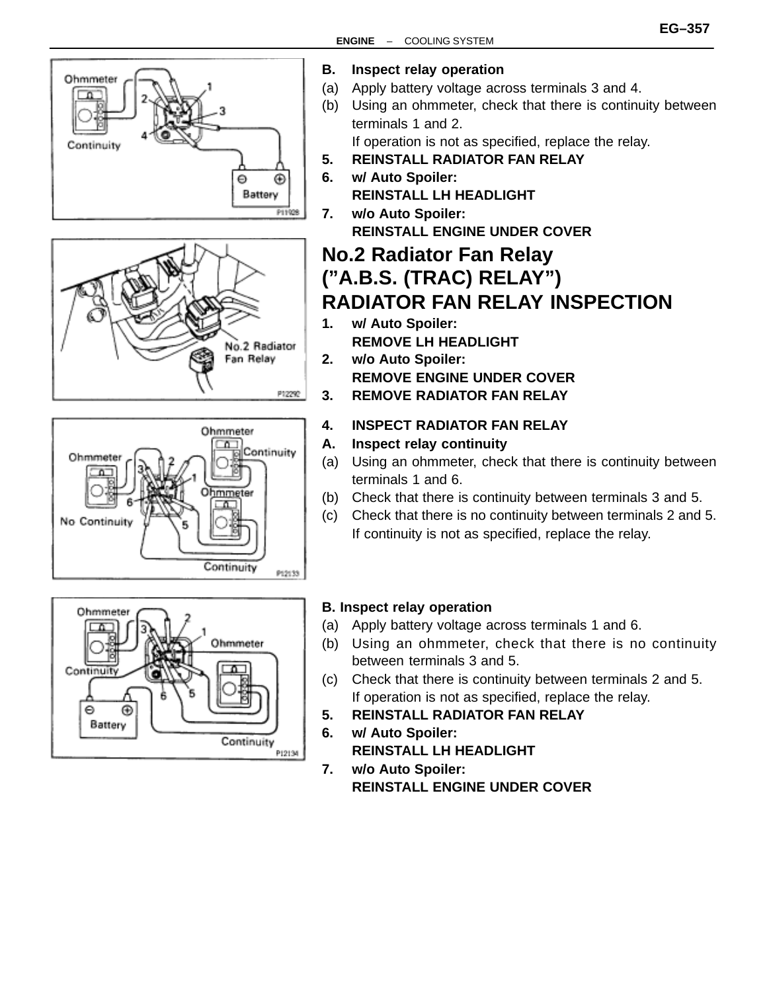







- **B. Inspect relay operation**
- (a) Apply battery voltage across terminals 3 and 4.
- (b) Using an ohmmeter, check that there is continuity between terminals 1 and 2.

If operation is not as specified, replace the relay.

- **5. REINSTALL RADIATOR FAN RELAY**
- **6. w/ Auto Spoiler: REINSTALL LH HEADLIGHT**
- **7. w/o Auto Spoiler: REINSTALL ENGINE UNDER COVER**

### **No.2 Radiator Fan Relay ("A.B.S. (TRAC) RELAY") RADIATOR FAN RELAY INSPECTION**

- **1. w/ Auto Spoiler: REMOVE LH HEADLIGHT**
- **2. w/o Auto Spoiler: REMOVE ENGINE UNDER COVER 3. REMOVE RADIATOR FAN RELAY**
- **4. INSPECT RADIATOR FAN RELAY**
- **A. Inspect relay continuity**
- (a) Using an ohmmeter, check that there is continuity between terminals 1 and 6.
- (b) Check that there is continuity between terminals 3 and 5.
- (c) Check that there is no continuity between terminals 2 and 5. If continuity is not as specified, replace the relay.

#### **B. Inspect relay operation**

- (a) Apply battery voltage across terminals 1 and 6.
- (b) Using an ohmmeter, check that there is no continuity between terminals 3 and 5.
- (c) Check that there is continuity between terminals 2 and 5. If operation is not as specified, replace the relay.
- **5. REINSTALL RADIATOR FAN RELAY**
- **6. w/ Auto Spoiler: REINSTALL LH HEADLIGHT**
- **7. w/o Auto Spoiler: REINSTALL ENGINE UNDER COVER**